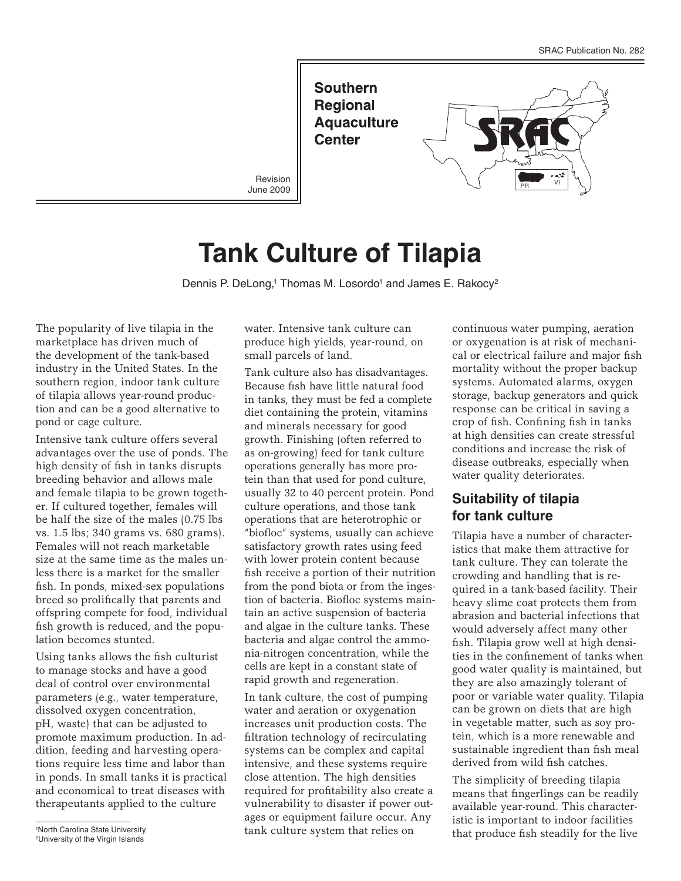**Southern Regional Aquaculture Center** 

Revision June 2009



# **Tank Culture of Tilapia**

Dennis P. DeLong,<sup>1</sup> Thomas M. Losordo<sup>1</sup> and James E. Rakocy<sup>2</sup>

The popularity of live tilapia in the marketplace has driven much of the development of the tank-based industry in the United States. In the southern region, indoor tank culture of tilapia allows year-round production and can be a good alternative to pond or cage culture.

Intensive tank culture offers several advantages over the use of ponds. The high density of fish in tanks disrupts breeding behavior and allows male and female tilapia to be grown together. If cultured together, females will be half the size of the males (0.75 lbs vs. 1.5 lbs; 340 grams vs. 680 grams). Females will not reach marketable size at the same time as the males unless there is a market for the smaller fish. In ponds, mixed-sex populations breed so prolifically that parents and offspring compete for food, individual fish growth is reduced, and the population becomes stunted.

Using tanks allows the fish culturist to manage stocks and have a good deal of control over environmental parameters (e.g., water temperature, dissolved oxygen concentration, pH, waste) that can be adjusted to promote maximum production. In addition, feeding and harvesting operations require less time and labor than in ponds. In small tanks it is practical and economical to treat diseases with therapeutants applied to the culture

1 North Carolina State University 2University of the Virgin Islands

water. Intensive tank culture can produce high yields, year-round, on small parcels of land.

Tank culture also has disadvantages. Because fish have little natural food in tanks, they must be fed a complete diet containing the protein, vitamins and minerals necessary for good growth. Finishing (often referred to as on-growing) feed for tank culture operations generally has more protein than that used for pond culture, usually 32 to 40 percent protein. Pond culture operations, and those tank operations that are heterotrophic or "biofloc" systems, usually can achieve satisfactory growth rates using feed with lower protein content because fish receive a portion of their nutrition from the pond biota or from the ingestion of bacteria. Biofloc systems maintain an active suspension of bacteria and algae in the culture tanks. These bacteria and algae control the ammonia-nitrogen concentration, while the cells are kept in a constant state of rapid growth and regeneration.

In tank culture, the cost of pumping water and aeration or oxygenation increases unit production costs. The filtration technology of recirculating systems can be complex and capital intensive, and these systems require close attention. The high densities required for profitability also create a vulnerability to disaster if power outages or equipment failure occur. Any tank culture system that relies on

continuous water pumping, aeration or oxygenation is at risk of mechanical or electrical failure and major fish mortality without the proper backup systems. Automated alarms, oxygen storage, backup generators and quick response can be critical in saving a crop of fish. Confining fish in tanks at high densities can create stressful conditions and increase the risk of disease outbreaks, especially when water quality deteriorates.

## **Suitability of tilapia for tank culture**

Tilapia have a number of characteristics that make them attractive for tank culture. They can tolerate the crowding and handling that is required in a tank-based facility. Their heavy slime coat protects them from abrasion and bacterial infections that would adversely affect many other fish. Tilapia grow well at high densities in the confinement of tanks when good water quality is maintained, but they are also amazingly tolerant of poor or variable water quality. Tilapia can be grown on diets that are high in vegetable matter, such as soy protein, which is a more renewable and sustainable ingredient than fish meal derived from wild fish catches.

The simplicity of breeding tilapia means that fingerlings can be readily available year-round. This characteristic is important to indoor facilities that produce fish steadily for the live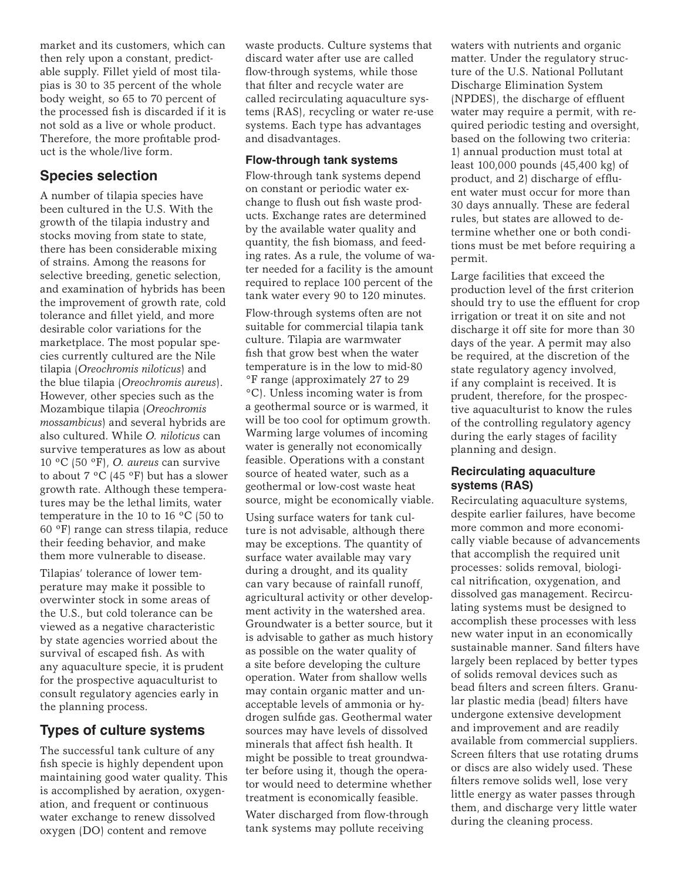market and its customers, which can then rely upon a constant, predictable supply. Fillet yield of most tilapias is 30 to 35 percent of the whole body weight, so 65 to 70 percent of the processed fish is discarded if it is not sold as a live or whole product. Therefore, the more profitable product is the whole/live form.

## **Species selection**

A number of tilapia species have been cultured in the U.S. With the growth of the tilapia industry and stocks moving from state to state, there has been considerable mixing of strains. Among the reasons for selective breeding, genetic selection, and examination of hybrids has been the improvement of growth rate, cold tolerance and fillet yield, and more desirable color variations for the marketplace. The most popular species currently cultured are the Nile tilapia (*Oreochromis niloticus*) and the blue tilapia (*Oreochromis aureus*). However, other species such as the Mozambique tilapia (*Oreochromis mossambicus*) and several hybrids are also cultured. While *O. niloticus* can survive temperatures as low as about 10 ºC (50 ºF), *O. aureus* can survive to about 7 ºC (45 ºF) but has a slower growth rate. Although these temperatures may be the lethal limits, water temperature in the 10 to 16 ºC (50 to 60 ºF) range can stress tilapia, reduce their feeding behavior, and make them more vulnerable to disease.

Tilapias' tolerance of lower temperature may make it possible to overwinter stock in some areas of the U.S., but cold tolerance can be viewed as a negative characteristic by state agencies worried about the survival of escaped fish. As with any aquaculture specie, it is prudent for the prospective aquaculturist to consult regulatory agencies early in the planning process.

# **Types of culture systems**

The successful tank culture of any fish specie is highly dependent upon maintaining good water quality. This is accomplished by aeration, oxygenation, and frequent or continuous water exchange to renew dissolved oxygen (DO) content and remove

waste products. Culture systems that discard water after use are called flow-through systems, while those that filter and recycle water are called recirculating aquaculture systems (RAS), recycling or water re-use systems. Each type has advantages and disadvantages.

#### **Flow-through tank systems**

Flow-through tank systems depend on constant or periodic water exchange to flush out fish waste products. Exchange rates are determined by the available water quality and quantity, the fish biomass, and feeding rates. As a rule, the volume of water needed for a facility is the amount required to replace 100 percent of the tank water every 90 to 120 minutes.

Flow-through systems often are not suitable for commercial tilapia tank culture. Tilapia are warmwater fish that grow best when the water temperature is in the low to mid-80 °F range (approximately 27 to 29 °C). Unless incoming water is from a geothermal source or is warmed, it will be too cool for optimum growth. Warming large volumes of incoming water is generally not economically feasible. Operations with a constant source of heated water, such as a geothermal or low-cost waste heat source, might be economically viable.

Using surface waters for tank culture is not advisable, although there may be exceptions. The quantity of surface water available may vary during a drought, and its quality can vary because of rainfall runoff, agricultural activity or other development activity in the watershed area. Groundwater is a better source, but it is advisable to gather as much history as possible on the water quality of a site before developing the culture operation. Water from shallow wells may contain organic matter and unacceptable levels of ammonia or hydrogen sulfide gas. Geothermal water sources may have levels of dissolved minerals that affect fish health. It might be possible to treat groundwater before using it, though the operator would need to determine whether treatment is economically feasible.

Water discharged from flow-through tank systems may pollute receiving

waters with nutrients and organic matter. Under the regulatory structure of the U.S. National Pollutant Discharge Elimination System (NPDES), the discharge of effluent water may require a permit, with required periodic testing and oversight, based on the following two criteria: 1) annual production must total at least 100,000 pounds (45,400 kg) of product, and 2) discharge of effluent water must occur for more than 30 days annually. These are federal rules, but states are allowed to determine whether one or both conditions must be met before requiring a permit.

Large facilities that exceed the production level of the first criterion should try to use the effluent for crop irrigation or treat it on site and not discharge it off site for more than 30 days of the year. A permit may also be required, at the discretion of the state regulatory agency involved, if any complaint is received. It is prudent, therefore, for the prospective aquaculturist to know the rules of the controlling regulatory agency during the early stages of facility planning and design.

#### **Recirculating aquaculture systems (RAS)**

Recirculating aquaculture systems, despite earlier failures, have become more common and more economically viable because of advancements that accomplish the required unit processes: solids removal, biological nitrification, oxygenation, and dissolved gas management. Recirculating systems must be designed to accomplish these processes with less new water input in an economically sustainable manner. Sand filters have largely been replaced by better types of solids removal devices such as bead filters and screen filters. Granular plastic media (bead) filters have undergone extensive development and improvement and are readily available from commercial suppliers. Screen filters that use rotating drums or discs are also widely used. These filters remove solids well, lose very little energy as water passes through them, and discharge very little water during the cleaning process.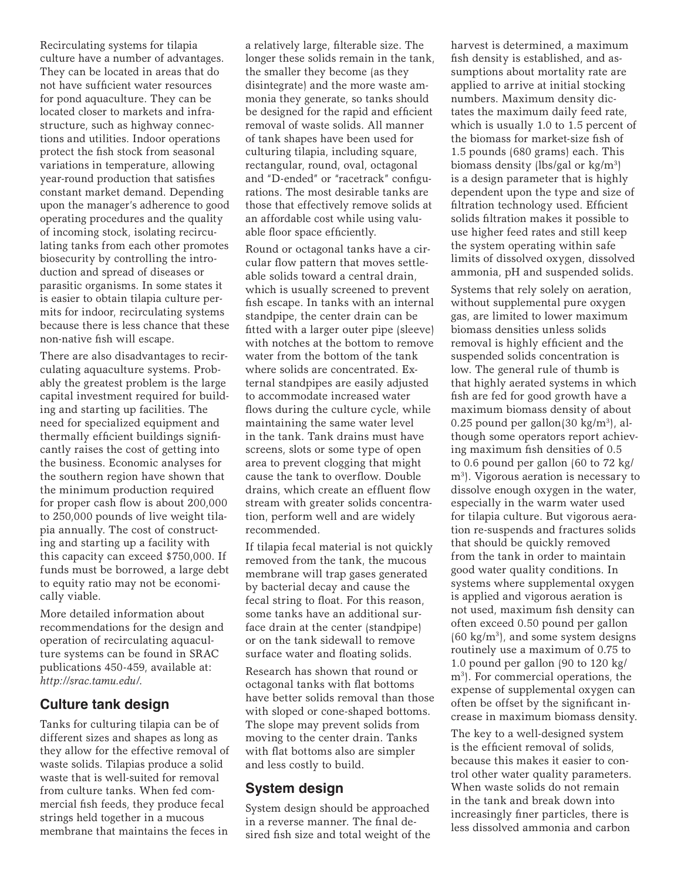Recirculating systems for tilapia culture have a number of advantages. They can be located in areas that do not have sufficient water resources for pond aquaculture. They can be located closer to markets and infrastructure, such as highway connections and utilities. Indoor operations protect the fish stock from seasonal variations in temperature, allowing year-round production that satisfies constant market demand. Depending upon the manager's adherence to good operating procedures and the quality of incoming stock, isolating recirculating tanks from each other promotes biosecurity by controlling the introduction and spread of diseases or parasitic organisms. In some states it is easier to obtain tilapia culture permits for indoor, recirculating systems because there is less chance that these non-native fish will escape.

There are also disadvantages to recirculating aquaculture systems. Probably the greatest problem is the large capital investment required for building and starting up facilities. The need for specialized equipment and thermally efficient buildings significantly raises the cost of getting into the business. Economic analyses for the southern region have shown that the minimum production required for proper cash flow is about 200,000 to 250,000 pounds of live weight tilapia annually. The cost of constructing and starting up a facility with this capacity can exceed \$750,000. If funds must be borrowed, a large debt to equity ratio may not be economically viable.

More detailed information about recommendations for the design and operation of recirculating aquaculture systems can be found in SRAC publications 450-459, available at: *http://srac.tamu.edu/*.

## **Culture tank design**

Tanks for culturing tilapia can be of different sizes and shapes as long as they allow for the effective removal of waste solids. Tilapias produce a solid waste that is well-suited for removal from culture tanks. When fed commercial fish feeds, they produce fecal strings held together in a mucous membrane that maintains the feces in

a relatively large, filterable size. The longer these solids remain in the tank, the smaller they become (as they disintegrate) and the more waste ammonia they generate, so tanks should be designed for the rapid and efficient removal of waste solids. All manner of tank shapes have been used for culturing tilapia, including square, rectangular, round, oval, octagonal and "D-ended" or "racetrack" configurations. The most desirable tanks are those that effectively remove solids at an affordable cost while using valuable floor space efficiently.

Round or octagonal tanks have a circular flow pattern that moves settleable solids toward a central drain, which is usually screened to prevent fish escape. In tanks with an internal standpipe, the center drain can be fitted with a larger outer pipe (sleeve) with notches at the bottom to remove water from the bottom of the tank where solids are concentrated. External standpipes are easily adjusted to accommodate increased water flows during the culture cycle, while maintaining the same water level in the tank. Tank drains must have screens, slots or some type of open area to prevent clogging that might cause the tank to overflow. Double drains, which create an effluent flow stream with greater solids concentration, perform well and are widely recommended.

If tilapia fecal material is not quickly removed from the tank, the mucous membrane will trap gases generated by bacterial decay and cause the fecal string to float. For this reason, some tanks have an additional surface drain at the center (standpipe) or on the tank sidewall to remove surface water and floating solids.

Research has shown that round or octagonal tanks with flat bottoms have better solids removal than those with sloped or cone-shaped bottoms. The slope may prevent solids from moving to the center drain. Tanks with flat bottoms also are simpler and less costly to build.

#### **System design**

System design should be approached in a reverse manner. The final desired fish size and total weight of the harvest is determined, a maximum fish density is established, and assumptions about mortality rate are applied to arrive at initial stocking numbers. Maximum density dictates the maximum daily feed rate, which is usually 1.0 to 1.5 percent of the biomass for market-size fish of 1.5 pounds (680 grams) each. This biomass density (lbs/gal or kg/m3) is a design parameter that is highly dependent upon the type and size of filtration technology used. Efficient solids filtration makes it possible to use higher feed rates and still keep the system operating within safe limits of dissolved oxygen, dissolved ammonia, pH and suspended solids.

Systems that rely solely on aeration, without supplemental pure oxygen gas, are limited to lower maximum biomass densities unless solids removal is highly efficient and the suspended solids concentration is low. The general rule of thumb is that highly aerated systems in which fish are fed for good growth have a maximum biomass density of about 0.25 pound per gallon $(30 \text{ kg/m}^3)$ , although some operators report achieving maximum fish densities of 0.5 to 0.6 pound per gallon (60 to 72 kg/  $m<sup>3</sup>$ . Vigorous aeration is necessary to dissolve enough oxygen in the water, especially in the warm water used for tilapia culture. But vigorous aeration re-suspends and fractures solids that should be quickly removed from the tank in order to maintain good water quality conditions. In systems where supplemental oxygen is applied and vigorous aeration is not used, maximum fish density can often exceed 0.50 pound per gallon  $(60 \text{ kg/m}^3)$ , and some system designs routinely use a maximum of 0.75 to 1.0 pound per gallon (90 to 120 kg/ m<sup>3</sup>). For commercial operations, the expense of supplemental oxygen can often be offset by the significant increase in maximum biomass density.

The key to a well-designed system is the efficient removal of solids, because this makes it easier to control other water quality parameters. When waste solids do not remain in the tank and break down into increasingly finer particles, there is less dissolved ammonia and carbon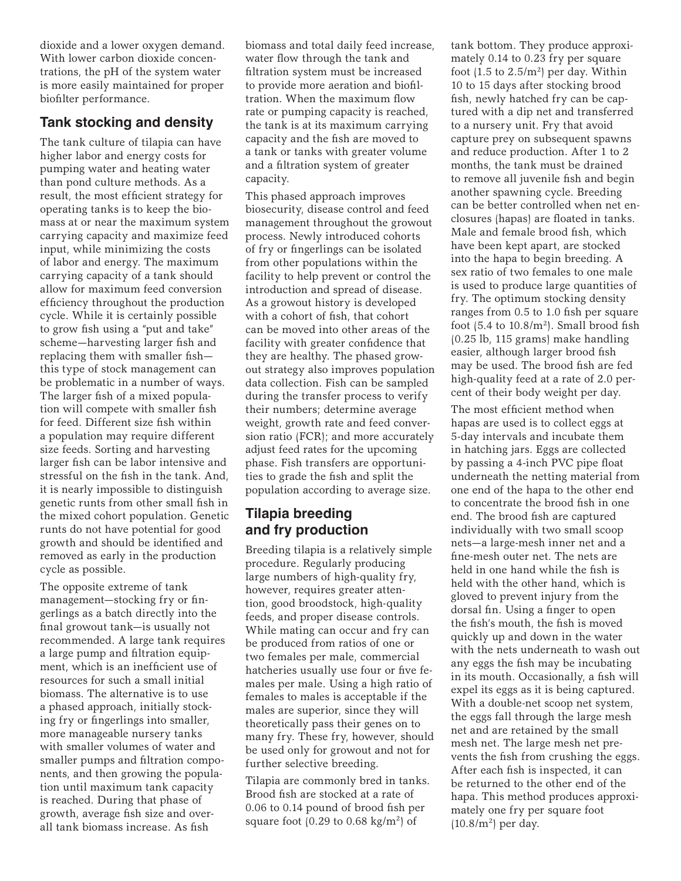dioxide and a lower oxygen demand. With lower carbon dioxide concentrations, the pH of the system water is more easily maintained for proper biofilter performance.

# **Tank stocking and density**

The tank culture of tilapia can have higher labor and energy costs for pumping water and heating water than pond culture methods. As a result, the most efficient strategy for operating tanks is to keep the biomass at or near the maximum system carrying capacity and maximize feed input, while minimizing the costs of labor and energy. The maximum carrying capacity of a tank should allow for maximum feed conversion efficiency throughout the production cycle. While it is certainly possible to grow fish using a "put and take" scheme—harvesting larger fish and replacing them with smaller fish this type of stock management can be problematic in a number of ways. The larger fish of a mixed population will compete with smaller fish for feed. Different size fish within a population may require different size feeds. Sorting and harvesting larger fish can be labor intensive and stressful on the fish in the tank. And, it is nearly impossible to distinguish genetic runts from other small fish in the mixed cohort population. Genetic runts do not have potential for good growth and should be identified and removed as early in the production cycle as possible.

The opposite extreme of tank management—stocking fry or fingerlings as a batch directly into the final growout tank—is usually not recommended. A large tank requires a large pump and filtration equipment, which is an inefficient use of resources for such a small initial biomass. The alternative is to use a phased approach, initially stocking fry or fingerlings into smaller, more manageable nursery tanks with smaller volumes of water and smaller pumps and filtration components, and then growing the population until maximum tank capacity is reached. During that phase of growth, average fish size and overall tank biomass increase. As fish

biomass and total daily feed increase, water flow through the tank and filtration system must be increased to provide more aeration and biofiltration. When the maximum flow rate or pumping capacity is reached, the tank is at its maximum carrying capacity and the fish are moved to a tank or tanks with greater volume and a filtration system of greater capacity.

This phased approach improves biosecurity, disease control and feed management throughout the growout process. Newly introduced cohorts of fry or fingerlings can be isolated from other populations within the facility to help prevent or control the introduction and spread of disease. As a growout history is developed with a cohort of fish, that cohort can be moved into other areas of the facility with greater confidence that they are healthy. The phased growout strategy also improves population data collection. Fish can be sampled during the transfer process to verify their numbers; determine average weight, growth rate and feed conversion ratio (FCR); and more accurately adjust feed rates for the upcoming phase. Fish transfers are opportunities to grade the fish and split the population according to average size.

# **Tilapia breeding and fry production**

Breeding tilapia is a relatively simple procedure. Regularly producing large numbers of high-quality fry, however, requires greater attention, good broodstock, high-quality feeds, and proper disease controls. While mating can occur and fry can be produced from ratios of one or two females per male, commercial hatcheries usually use four or five females per male. Using a high ratio of females to males is acceptable if the males are superior, since they will theoretically pass their genes on to many fry. These fry, however, should be used only for growout and not for further selective breeding.

Tilapia are commonly bred in tanks. Brood fish are stocked at a rate of 0.06 to 0.14 pound of brood fish per square foot (0.29 to 0.68 kg/m<sup>2</sup>) of

tank bottom. They produce approximately 0.14 to 0.23 fry per square foot  $(1.5 \text{ to } 2.5/\text{m}^2)$  per day. Within 10 to 15 days after stocking brood fish, newly hatched fry can be captured with a dip net and transferred to a nursery unit. Fry that avoid capture prey on subsequent spawns and reduce production. After 1 to 2 months, the tank must be drained to remove all juvenile fish and begin another spawning cycle. Breeding can be better controlled when net enclosures (hapas) are floated in tanks. Male and female brood fish, which have been kept apart, are stocked into the hapa to begin breeding. A sex ratio of two females to one male is used to produce large quantities of fry. The optimum stocking density ranges from 0.5 to 1.0 fish per square foot  $(5.4 \text{ to } 10.8/\text{m}^2)$ . Small brood fish (0.25 lb, 115 grams) make handling easier, although larger brood fish may be used. The brood fish are fed high-quality feed at a rate of 2.0 percent of their body weight per day.

The most efficient method when hapas are used is to collect eggs at 5-day intervals and incubate them in hatching jars. Eggs are collected by passing a 4-inch PVC pipe float underneath the netting material from one end of the hapa to the other end to concentrate the brood fish in one end. The brood fish are captured individually with two small scoop nets—a large-mesh inner net and a fine-mesh outer net. The nets are held in one hand while the fish is held with the other hand, which is gloved to prevent injury from the dorsal fin. Using a finger to open the fish's mouth, the fish is moved quickly up and down in the water with the nets underneath to wash out any eggs the fish may be incubating in its mouth. Occasionally, a fish will expel its eggs as it is being captured. With a double-net scoop net system, the eggs fall through the large mesh net and are retained by the small mesh net. The large mesh net prevents the fish from crushing the eggs. After each fish is inspected, it can be returned to the other end of the hapa. This method produces approximately one fry per square foot  $(10.8/m<sup>2</sup>)$  per day.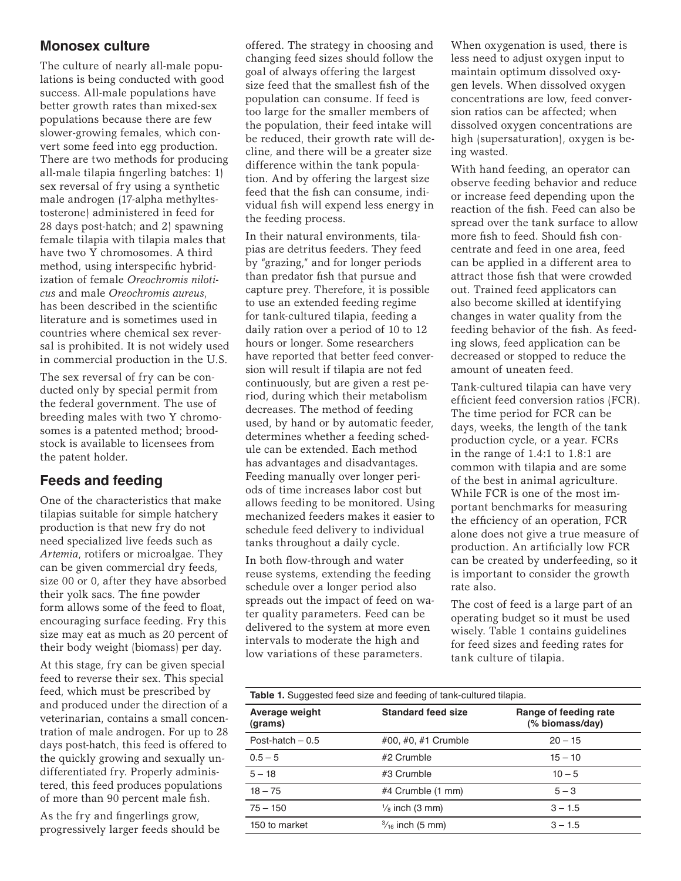## **Monosex culture**

The culture of nearly all-male populations is being conducted with good success. All-male populations have better growth rates than mixed-sex populations because there are few slower-growing females, which convert some feed into egg production. There are two methods for producing all-male tilapia fingerling batches: 1) sex reversal of fry using a synthetic male androgen (17-alpha methyltestosterone) administered in feed for 28 days post-hatch; and 2) spawning female tilapia with tilapia males that have two Y chromosomes. A third method, using interspecific hybridization of female *Oreochromis niloticus* and male *Oreochromis aureus*, has been described in the scientific literature and is sometimes used in countries where chemical sex reversal is prohibited. It is not widely used in commercial production in the U.S.

The sex reversal of fry can be conducted only by special permit from the federal government. The use of breeding males with two Y chromosomes is a patented method; broodstock is available to licensees from the patent holder.

# **Feeds and feeding**

One of the characteristics that make tilapias suitable for simple hatchery production is that new fry do not need specialized live feeds such as *Artemia*, rotifers or microalgae. They can be given commercial dry feeds, size 00 or 0, after they have absorbed their yolk sacs. The fine powder form allows some of the feed to float, encouraging surface feeding. Fry this size may eat as much as 20 percent of their body weight (biomass) per day.

At this stage, fry can be given special feed to reverse their sex. This special feed, which must be prescribed by and produced under the direction of a veterinarian, contains a small concentration of male androgen. For up to 28 days post-hatch, this feed is offered to the quickly growing and sexually undifferentiated fry. Properly administered, this feed produces populations of more than 90 percent male fish.

As the fry and fingerlings grow, progressively larger feeds should be offered. The strategy in choosing and changing feed sizes should follow the goal of always offering the largest size feed that the smallest fish of the population can consume. If feed is too large for the smaller members of the population, their feed intake will be reduced, their growth rate will decline, and there will be a greater size difference within the tank population. And by offering the largest size feed that the fish can consume, individual fish will expend less energy in the feeding process.

In their natural environments, tilapias are detritus feeders. They feed by "grazing," and for longer periods than predator fish that pursue and capture prey. Therefore, it is possible to use an extended feeding regime for tank-cultured tilapia, feeding a daily ration over a period of 10 to 12 hours or longer. Some researchers have reported that better feed conversion will result if tilapia are not fed continuously, but are given a rest period, during which their metabolism decreases. The method of feeding used, by hand or by automatic feeder, determines whether a feeding schedule can be extended. Each method has advantages and disadvantages. Feeding manually over longer periods of time increases labor cost but allows feeding to be monitored. Using mechanized feeders makes it easier to schedule feed delivery to individual tanks throughout a daily cycle.

In both flow-through and water reuse systems, extending the feeding schedule over a longer period also spreads out the impact of feed on water quality parameters. Feed can be delivered to the system at more even intervals to moderate the high and low variations of these parameters.

When oxygenation is used, there is less need to adjust oxygen input to maintain optimum dissolved oxygen levels. When dissolved oxygen concentrations are low, feed conversion ratios can be affected; when dissolved oxygen concentrations are high (supersaturation), oxygen is being wasted.

With hand feeding, an operator can observe feeding behavior and reduce or increase feed depending upon the reaction of the fish. Feed can also be spread over the tank surface to allow more fish to feed. Should fish concentrate and feed in one area, feed can be applied in a different area to attract those fish that were crowded out. Trained feed applicators can also become skilled at identifying changes in water quality from the feeding behavior of the fish. As feeding slows, feed application can be decreased or stopped to reduce the amount of uneaten feed.

Tank-cultured tilapia can have very efficient feed conversion ratios (FCR). The time period for FCR can be days, weeks, the length of the tank production cycle, or a year. FCRs in the range of 1.4:1 to 1.8:1 are common with tilapia and are some of the best in animal agriculture. While FCR is one of the most important benchmarks for measuring the efficiency of an operation, FCR alone does not give a true measure of production. An artificially low FCR can be created by underfeeding, so it is important to consider the growth rate also.

The cost of feed is a large part of an operating budget so it must be used wisely. Table 1 contains guidelines for feed sizes and feeding rates for tank culture of tilapia.

| <b>Table 1.</b> Suggested feed size and feeding of tank-cultured tilapia. |                            |                                          |
|---------------------------------------------------------------------------|----------------------------|------------------------------------------|
| Average weight<br>(grams)                                                 | <b>Standard feed size</b>  | Range of feeding rate<br>(% biomass/day) |
| Post-hatch $-0.5$                                                         | #00, #0, #1 Crumble        | $20 - 15$                                |
| $0.5 - 5$                                                                 | #2 Crumble                 | $15 - 10$                                |
| $5 - 18$                                                                  | #3 Crumble                 | $10 - 5$                                 |
| $18 - 75$                                                                 | #4 Crumble (1 mm)          | $5 - 3$                                  |
| $75 - 150$                                                                | $\frac{1}{8}$ inch (3 mm)  | $3 - 1.5$                                |
| 150 to market                                                             | $\frac{3}{16}$ inch (5 mm) | $3 - 1.5$                                |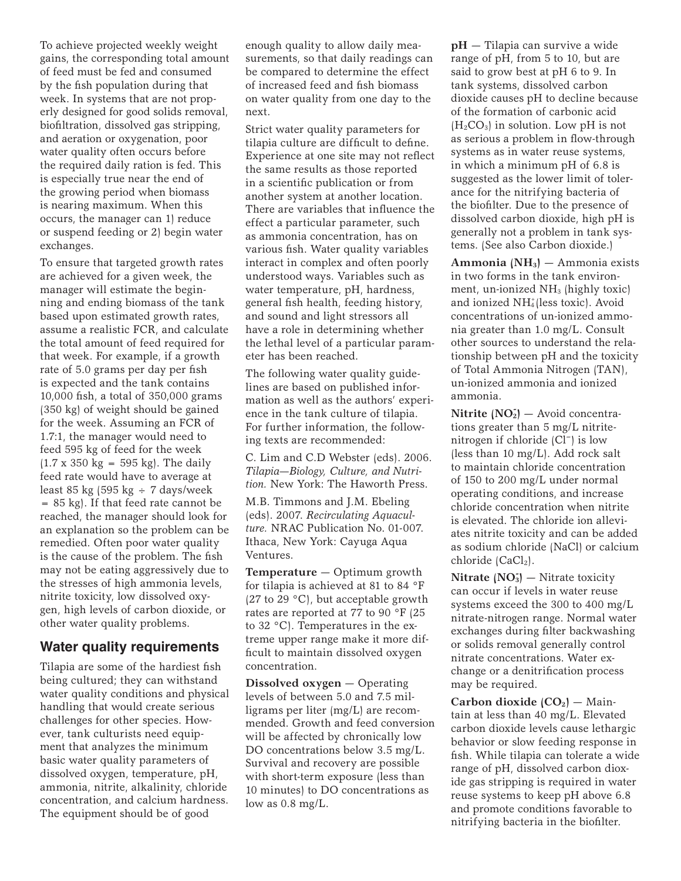To achieve projected weekly weight gains, the corresponding total amount of feed must be fed and consumed by the fish population during that week. In systems that are not properly designed for good solids removal, biofiltration, dissolved gas stripping, and aeration or oxygenation, poor water quality often occurs before the required daily ration is fed. This is especially true near the end of the growing period when biomass is nearing maximum. When this occurs, the manager can 1) reduce or suspend feeding or 2) begin water exchanges.

To ensure that targeted growth rates are achieved for a given week, the manager will estimate the beginning and ending biomass of the tank based upon estimated growth rates, assume a realistic FCR, and calculate the total amount of feed required for that week. For example, if a growth rate of 5.0 grams per day per fish is expected and the tank contains 10,000 fish, a total of 350,000 grams (350 kg) of weight should be gained for the week. Assuming an FCR of 1.7:1, the manager would need to feed 595 kg of feed for the week  $(1.7 \times 350 \text{ kg} = 595 \text{ kg})$ . The daily feed rate would have to average at least 85 kg (595 kg  $\div$  7 days/week  $= 85$  kg). If that feed rate cannot be reached, the manager should look for an explanation so the problem can be remedied. Often poor water quality is the cause of the problem. The fish may not be eating aggressively due to the stresses of high ammonia levels, nitrite toxicity, low dissolved oxygen, high levels of carbon dioxide, or other water quality problems.

## **Water quality requirements**

Tilapia are some of the hardiest fish being cultured; they can withstand water quality conditions and physical handling that would create serious challenges for other species. However, tank culturists need equipment that analyzes the minimum basic water quality parameters of dissolved oxygen, temperature, pH, ammonia, nitrite, alkalinity, chloride concentration, and calcium hardness. The equipment should be of good

enough quality to allow daily measurements, so that daily readings can be compared to determine the effect of increased feed and fish biomass on water quality from one day to the next.

Strict water quality parameters for tilapia culture are difficult to define. Experience at one site may not reflect the same results as those reported in a scientific publication or from another system at another location. There are variables that influence the effect a particular parameter, such as ammonia concentration, has on various fish. Water quality variables interact in complex and often poorly understood ways. Variables such as water temperature, pH, hardness, general fish health, feeding history, and sound and light stressors all have a role in determining whether the lethal level of a particular parameter has been reached.

The following water quality guidelines are based on published information as well as the authors' experience in the tank culture of tilapia. For further information, the following texts are recommended:

C. Lim and C.D Webster (eds). 2006. *Tilapia—Biology, Culture, and Nutrition.* New York: The Haworth Press.

M.B. Timmons and J.M. Ebeling (eds). 2007. *Recirculating Aquaculture.* NRAC Publication No. 01-007. Ithaca, New York: Cayuga Aqua Ventures.

**Temperature** — Optimum growth for tilapia is achieved at 81 to 84 °F (27 to 29  $^{\circ}$ C), but acceptable growth rates are reported at 77 to 90 °F (25 to 32 °C). Temperatures in the extreme upper range make it more difficult to maintain dissolved oxygen concentration.

**Dissolved oxygen** — Operating levels of between 5.0 and 7.5 milligrams per liter (mg/L) are recommended. Growth and feed conversion will be affected by chronically low DO concentrations below 3.5 mg/L. Survival and recovery are possible with short-term exposure (less than 10 minutes) to DO concentrations as low as 0.8 mg/L.

**pH** — Tilapia can survive a wide range of pH, from 5 to 10, but are said to grow best at pH 6 to 9. In tank systems, dissolved carbon dioxide causes pH to decline because of the formation of carbonic acid  $(H_2CO_3)$  in solution. Low pH is not as serious a problem in flow-through systems as in water reuse systems, in which a minimum pH of 6.8 is suggested as the lower limit of tolerance for the nitrifying bacteria of the biofilter. Due to the presence of dissolved carbon dioxide, high pH is generally not a problem in tank systems. (See also Carbon dioxide.)

**Ammonia (NH3)** — Ammonia exists in two forms in the tank environment, un-ionized NH3 (highly toxic) and ionized NH<sup>+</sup>(less toxic). Avoid concentrations of un-ionized ammonia greater than 1.0 mg/L. Consult other sources to understand the relationship between pH and the toxicity of Total Ammonia Nitrogen (TAN), un-ionized ammonia and ionized ammonia.

Nitrite (NO<sub>2</sub>) – Avoid concentrations greater than 5 mg/L nitritenitrogen if chloride (Cl–) is low (less than 10 mg/L). Add rock salt to maintain chloride concentration of 150 to 200 mg/L under normal operating conditions, and increase chloride concentration when nitrite is elevated. The chloride ion alleviates nitrite toxicity and can be added as sodium chloride (NaCl) or calcium chloride  $(CaCl<sub>2</sub>)$ .

**Nitrate (NO3 - )** — Nitrate toxicity can occur if levels in water reuse systems exceed the 300 to 400 mg/L nitrate-nitrogen range. Normal water exchanges during filter backwashing or solids removal generally control nitrate concentrations. Water exchange or a denitrification process may be required.

**Carbon dioxide**  $(CO_2)$  — Maintain at less than 40 mg/L. Elevated carbon dioxide levels cause lethargic behavior or slow feeding response in fish. While tilapia can tolerate a wide range of pH, dissolved carbon dioxide gas stripping is required in water reuse systems to keep pH above 6.8 and promote conditions favorable to nitrifying bacteria in the biofilter.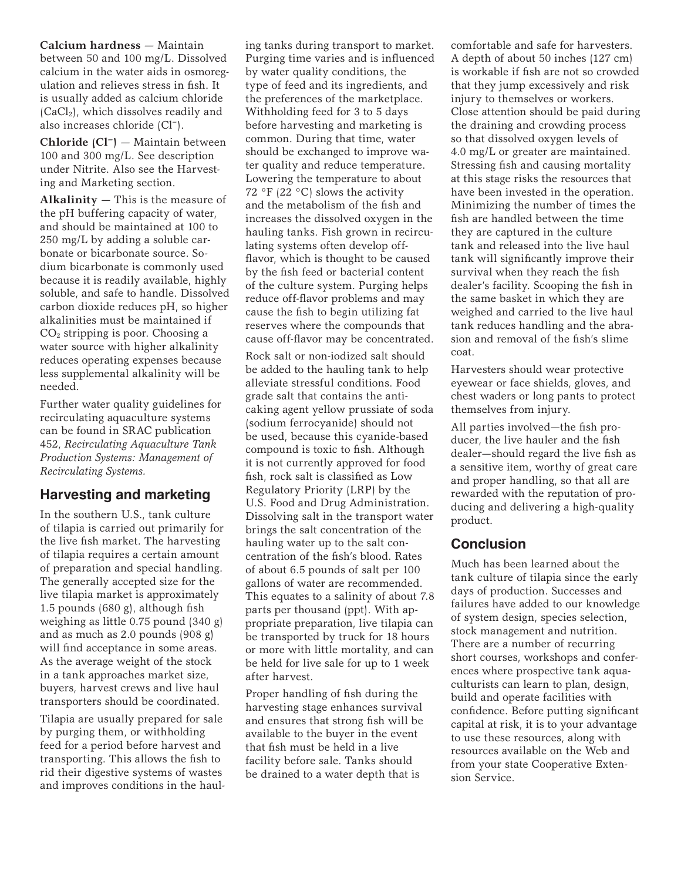**Calcium hardness** — Maintain between 50 and 100 mg/L. Dissolved calcium in the water aids in osmoregulation and relieves stress in fish. It is usually added as calcium chloride  $(CaCl<sub>2</sub>)$ , which dissolves readily and also increases chloride (Cl–).

**Chloride (Cl–)** — Maintain between 100 and 300 mg/L. See description under Nitrite. Also see the Harvesting and Marketing section.

**Alkalinity** — This is the measure of the pH buffering capacity of water, and should be maintained at 100 to 250 mg/L by adding a soluble carbonate or bicarbonate source. Sodium bicarbonate is commonly used because it is readily available, highly soluble, and safe to handle. Dissolved carbon dioxide reduces pH, so higher alkalinities must be maintained if CO2 stripping is poor. Choosing a water source with higher alkalinity reduces operating expenses because less supplemental alkalinity will be needed.

Further water quality guidelines for recirculating aquaculture systems can be found in SRAC publication 452, *Recirculating Aquaculture Tank Production Systems: Management of Recirculating Systems.*

## **Harvesting and marketing**

In the southern U.S., tank culture of tilapia is carried out primarily for the live fish market. The harvesting of tilapia requires a certain amount of preparation and special handling. The generally accepted size for the live tilapia market is approximately 1.5 pounds (680 g), although fish weighing as little 0.75 pound (340 g) and as much as 2.0 pounds (908 g) will find acceptance in some areas. As the average weight of the stock in a tank approaches market size, buyers, harvest crews and live haul transporters should be coordinated.

Tilapia are usually prepared for sale by purging them, or withholding feed for a period before harvest and transporting. This allows the fish to rid their digestive systems of wastes and improves conditions in the hauling tanks during transport to market. Purging time varies and is influenced by water quality conditions, the type of feed and its ingredients, and the preferences of the marketplace. Withholding feed for 3 to 5 days before harvesting and marketing is common. During that time, water should be exchanged to improve water quality and reduce temperature. Lowering the temperature to about 72 °F (22 °C) slows the activity and the metabolism of the fish and increases the dissolved oxygen in the hauling tanks. Fish grown in recirculating systems often develop offflavor, which is thought to be caused by the fish feed or bacterial content of the culture system. Purging helps reduce off-flavor problems and may cause the fish to begin utilizing fat reserves where the compounds that cause off-flavor may be concentrated. Rock salt or non-iodized salt should be added to the hauling tank to help alleviate stressful conditions. Food grade salt that contains the anticaking agent yellow prussiate of soda (sodium ferrocyanide) should not be used, because this cyanide-based compound is toxic to fish. Although it is not currently approved for food fish, rock salt is classified as Low Regulatory Priority (LRP) by the U.S. Food and Drug Administration. Dissolving salt in the transport water brings the salt concentration of the hauling water up to the salt concentration of the fish's blood. Rates of about 6.5 pounds of salt per 100 gallons of water are recommended. This equates to a salinity of about 7.8 parts per thousand (ppt). With appropriate preparation, live tilapia can be transported by truck for 18 hours or more with little mortality, and can be held for live sale for up to 1 week after harvest.

Proper handling of fish during the harvesting stage enhances survival and ensures that strong fish will be available to the buyer in the event that fish must be held in a live facility before sale. Tanks should be drained to a water depth that is

comfortable and safe for harvesters. A depth of about 50 inches (127 cm) is workable if fish are not so crowded that they jump excessively and risk injury to themselves or workers. Close attention should be paid during the draining and crowding process so that dissolved oxygen levels of 4.0 mg/L or greater are maintained. Stressing fish and causing mortality at this stage risks the resources that have been invested in the operation. Minimizing the number of times the fish are handled between the time they are captured in the culture tank and released into the live haul tank will significantly improve their survival when they reach the fish dealer's facility. Scooping the fish in the same basket in which they are weighed and carried to the live haul tank reduces handling and the abrasion and removal of the fish's slime coat.

Harvesters should wear protective eyewear or face shields, gloves, and chest waders or long pants to protect themselves from injury.

All parties involved—the fish producer, the live hauler and the fish dealer—should regard the live fish as a sensitive item, worthy of great care and proper handling, so that all are rewarded with the reputation of producing and delivering a high-quality product.

# **Conclusion**

Much has been learned about the tank culture of tilapia since the early days of production. Successes and failures have added to our knowledge of system design, species selection, stock management and nutrition. There are a number of recurring short courses, workshops and conferences where prospective tank aquaculturists can learn to plan, design, build and operate facilities with confidence. Before putting significant capital at risk, it is to your advantage to use these resources, along with resources available on the Web and from your state Cooperative Extension Service.